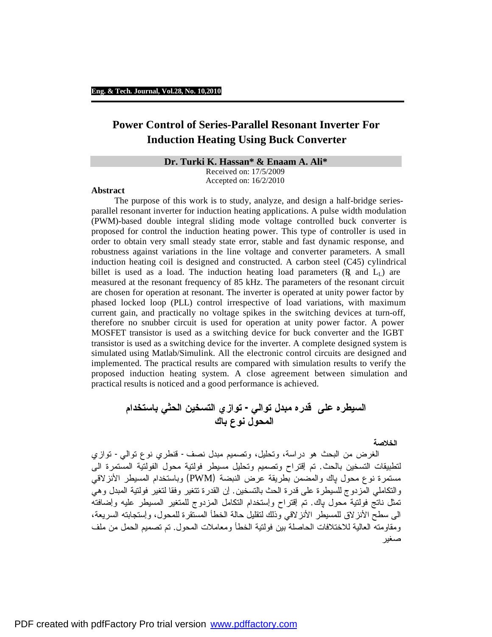# **Power Control of Series-Parallel Resonant Inverter For Induction Heating Using Buck Converter**

### **Dr. Turki K. Hassan\* & Enaam A. Ali\***

Received on: 17/5/2009 Accepted on: 16/2/2010

### **Abstract**

 The purpose of this work is to study, analyze, and design a half-bridge seriesparallel resonant inverter for induction heating applications. A pulse width modulation (PWM)-based double integral sliding mode voltage controlled buck converter is proposed for control the induction heating power. This type of controller is used in order to obtain very small steady state error, stable and fast dynamic response, and robustness against variations in the line voltage and converter parameters. A small induction heating coil is designed and constructed. A carbon steel (C45) cylindrical billet is used as a load. The induction heating load parameters  $(R<sub>L</sub>)$  are measured at the resonant frequency of 85 kHz. The parameters of the resonant circuit are chosen for operation at resonant. The inverter is operated at unity power factor by phased locked loop (PLL) control irrespective of load variations, with maximum current gain, and practically no voltage spikes in the switching devices at turn-off, therefore no snubber circuit is used for operation at unity power factor. A power MOSFET transistor is used as a switching device for buck converter and the IGBT transistor is used as a switching device for the inverter. A complete designed system is simulated using Matlab/Simulink. All the electronic control circuits are designed and implemented. The practical results are compared with simulation results to verify the proposed induction heating system. A close agreement between simulation and practical results is noticed and a good performance is achieved.

**السيطره على قدره مبدل توالي- توازي التسخين الحثي باستخدام المحول نوع باك** 

**الخلاصة** 

 الغرض من البحث هو دراسة، وتحليل، وتصميم مبدل نصف- قنطري نوع توالي- توازي لتطبيقات التسخين بالحث. تم ٳقتراح وتصميم وتحليل مسيطر فولتية محول الفولتية المستمرة الى مستمرة نوع محول پاك والمضمن بطريقة عرض النبضة (PWM (وباستخدام المسيطر الأنزلاقي والتكاملي المزدوج للسيطرة على قدرة الحث بالتسخين. ٳن القدرة تتغير وفقا لتغير فولتية المبدل وهي تمثل ناتج فولتية محول پاك. تم ٳقتراح وٳستخدام التكامل المزدوج للمتغير المسيطر عليه وٳضافته الى سطح الأنزلاق للمسيطر الأنزلاقي وذلك لتقليل حالة الخطأ المستقرة للمحول، وٳستجابته السريعة، ومقاومته العالية للاختلافات الحاصلة بين فولتية الخطأ ومعاملات المحول. تم تصميم الحمل من ملف صغير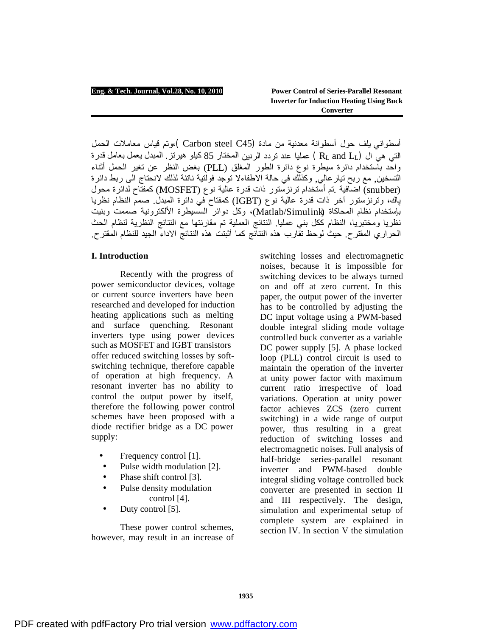أسطواني يلف حول أسطوانة معدنية من مادة (Carbon steel C45 )،وتم قياس معاملات الحمل التي هي ال (LL and RL ( عمليا عند تردد الرنين المختار 85 كیلو ھیرتز. المبدل یعمل بعامل قدرة واحد باستخدام دائرة سیطرة نوع دائرة الطور المغلق (PLL (بغض النظر عن تغیر الحمل أثناء التسخین, مع ربح تیارعالي, وكذلك في حالة الاطفاءلا توجد فولتیة ناتئة لذلك لانحتاج الى ربط دائرة (snubber (اضافیة .تم أستخدام ترنزستور ذات قدرة عالیة نوع (MOSFET (كمفتاح لدائرة محول پاك، وترنزستور آخر ذات قدرة عالیة نوع (IGBT (كمفتاح في دائرة المبدل. صمم النظام نظریا ب ستخدام نظام المحاكاة (Simulink/Matlab(، وكل دوائر السسیطرة الألكترونیة صممت وبنیت نظریا ومختبریا، النظام ككل بني عملیا. النتائج العملیة تم مقارنتھا مع النتائج النظریة لنظام الحث الحراري المقترح. حیث لوحظ تقارب ھذه النتائج كما أثبتت ھذه النتائج الاداء الجید للنظام المقترح.

# **I. Introduction**

Recently with the progress of power semiconductor devices, voltage or current source inverters have been researched and developed for induction heating applications such as melting and surface quenching. Resonant inverters type using power devices such as MOSFET and IGBT transistors offer reduced switching losses by softswitching technique, therefore capable of operation at high frequency. A resonant inverter has no ability to control the output power by itself, therefore the following power control schemes have been proposed with a diode rectifier bridge as a DC power supply:

- Frequency control [1].
- Pulse width modulation [2].
- Phase shift control [3].
- Pulse density modulation control [4].
- Duty control [5].

These power control schemes, however, may result in an increase of

switching losses and electromagnetic noises, because it is impossible for switching devices to be always turned on and off at zero current. In this paper, the output power of the inverter has to be controlled by adjusting the DC input voltage using a PWM-based double integral sliding mode voltage controlled buck converter as a variable DC power supply [5]. A phase locked loop (PLL) control circuit is used to maintain the operation of the inverter at unity power factor with maximum current ratio irrespective of load variations. Operation at unity power factor achieves ZCS (zero current switching) in a wide range of output power, thus resulting in a great reduction of switching losses and electromagnetic noises. Full analysis of half-bridge series-parallel resonant inverter and PWM-based double integral sliding voltage controlled buck converter are presented in section II and III respectively. The design, simulation and experimental setup of complete system are explained in section IV. In section V the simulation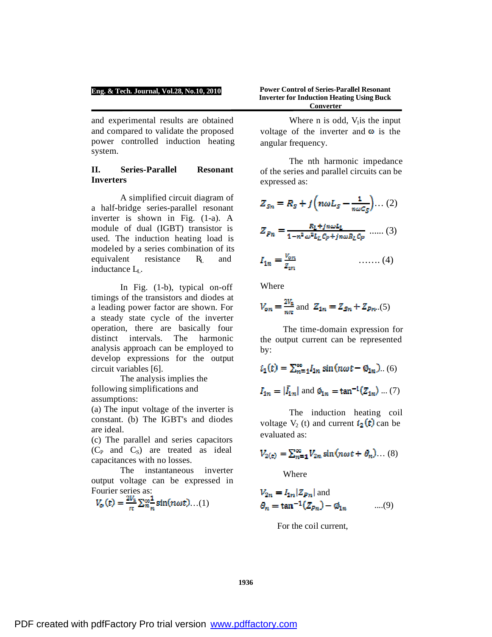and experimental results are obtained and compared to validate the proposed power controlled induction heating system.

## **II. Series-Parallel Resonant Inverters**

A simplified circuit diagram of a half-bridge series-parallel resonant inverter is shown in Fig. (1-a). A module of dual (IGBT) transistor is used. The induction heating load is modeled by a series combination of its equivalent resistance  $R_L$  and inductance LL.

In Fig. (1-b), typical on-off timings of the transistors and diodes at a leading power factor are shown. For a steady state cycle of the inverter operation, there are basically four distinct intervals. The harmonic analysis approach can be employed to develop expressions for the output circuit variables [6].

The analysis implies the following simplifications and assumptions:

(a) The input voltage of the inverter is constant. (b) The IGBT's and diodes are ideal.

(c) The parallel and series capacitors  $(C_P \text{ and } C_S)$  are treated as ideal capacitances with no losses.

The instantaneous inverter output voltage can be expressed in Fourier series as:

$$
V_o(t) = \frac{2V_1}{\pi} \sum_{n=1}^{\infty} \sin(n\omega t) \dots (1)
$$

**Power Control of Series-Parallel Resonant Inverter for Induction Heating Using Buck Converter**

Where n is odd,  $V<sub>1</sub>$  is the input voltage of the inverter and  $\omega$  is the angular frequency.

The nth harmonic impedance of the series and parallel circuits can be expressed as:

$$
Z_{Sn} = R_S + j \left( n \omega L_S - \frac{1}{n \omega c_S} \right) \dots (2)
$$

$$
Z_{Pn} = \frac{R_L + j n \omega L_L}{1 - n^2 \omega^2 L_L C_P + j n \omega R_L C_P} \dots (3)
$$

$$
I_{1n} = \frac{V_{on}}{Z_{in}} \qquad \qquad \qquad \ldots \ldots (4)
$$

Where

$$
V_{on} = \frac{2V_a}{n\pi}
$$
 and  $Z_{1n} = Z_{Sn} + Z_{Pn}...(5)$ 

The time-domain expression for the output current can be represented by:

$$
i_1(t) = \sum_{n=1}^{\infty} I_{1n} \sin(n\omega t - \emptyset_{1n})...(6)
$$
  

$$
I_{1n} = |\bar{I}_{1n}| \text{ and } \emptyset_{1n} = \tan^{-1}(Z_{1n})...(7)
$$

The induction heating coil voltage  $V_2$  (t) and current  $i_2(t)$  can be evaluated as:

$$
V_{2(\epsilon)} = \sum_{n=1}^{\infty} V_{2n} \sin(n\omega t + \theta_n) \dots (8)
$$

Where

$$
V_{2n} = I_{1n} | Z_{Pn} |
$$
 and  

$$
\theta_n = \tan^{-1}(Z_{Pn}) - \phi_{1n}
$$
 ....(9)

For the coil current,

**1936**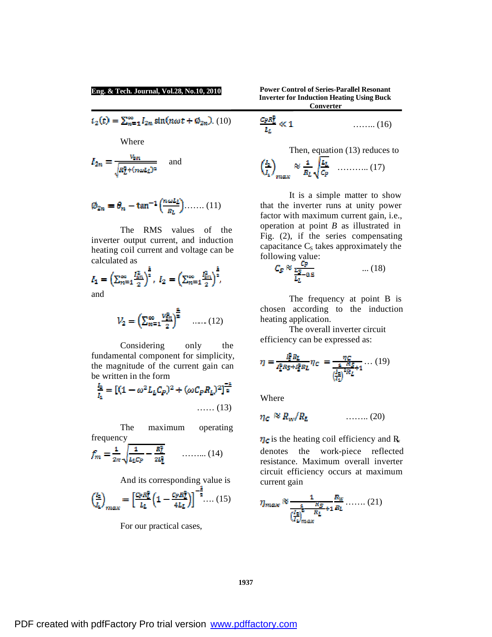**Eng. & Tech. Journal, Vol.28, No.10, 2010**

$$
i_2(t) = \sum_{n=1}^{\infty} I_{2n} \sin(n\omega t + \emptyset_{2n}). \tag{10}
$$

Where

$$
I_{2n} = \frac{v_{\text{sn}}}{\sqrt{R_L^2 + (n\omega L_L)^2}}
$$
 and

$$
\emptyset_{2n} = \theta_n - \tan^{-1}\left(\frac{n\omega L_L}{R_L}\right) \dots \dots (11)
$$

The RMS values of the inverter output current, and induction heating coil current and voltage can be calculated as

$$
I_1 = \left(\sum_{n=1}^{\infty} \frac{I_{2n}^2}{2}\right)^{\frac{2}{n}}, \ I_2 = \left(\sum_{n=1}^{\infty} \frac{I_{2n}^2}{2}\right)^{\frac{2}{n}},
$$
 and

$$
V_2 = \left(\sum_{n=1}^{\infty} \frac{v_{in}^2}{2}\right)^{\frac{2}{2}} \quad \dots \dots (12)
$$

Considering only the fundamental component for simplicity, the magnitude of the current gain can be written in the form

$$
\frac{I_2}{I_1} = \left[ (1 - \omega^2 L_L C_P)^2 + (\omega C_P R_L)^2 \right]_2^{-4}
$$
  
...... (13)

The maximum operating

frequency  

$$
f_m = \frac{1}{2\pi} \sqrt{\frac{1}{L_L C_P} - \frac{R_L^2}{2L_L^2}}
$$
........(14)

And its corresponding value is

$$
\left(\frac{I_2}{I_1}\right)_{max} = \left[\frac{C_P R_L^2}{L_L} \left(1 - \frac{C_P R_L^2}{4L_L}\right)\right]^{-\frac{2}{2}} \dots (15)
$$

For our practical cases,

**Power Control of Series-Parallel Resonant Inverter for Induction Heating Using Buck Converter**

$$
\frac{C_P R_L^2}{L_L} \ll 1 \qquad \qquad \qquad \ldots \ldots \ldots (16)
$$

Then, equation (13) reduces to  $\overline{a}$   $\overline{b}$ 

$$
\left(\frac{l_2}{l_1}\right)_{max} \approx \frac{1}{R_L} \sqrt{\frac{l_1}{C_P}} \quad \dots \dots \dots \dots \tag{17}
$$

It is a simple matter to show that the inverter runs at unity power factor with maximum current gain, i.e., operation at point *B* as illustrated in Fig. (2), if the series compensating capacitance  $C<sub>S</sub>$  takes approximately the following value:

$$
C_S \approx \frac{C_P}{\frac{L_S}{L_L} - 0.5} \qquad \qquad \dots (18)
$$

The frequency at point B is chosen according to the induction heating application.

The overall inverter circuit efficiency can be expressed as:

$$
\eta = \frac{l_2^2 R_L}{l_2^2 R_S + l_2^2 R_L} \eta_C = \frac{\eta_C}{\frac{1}{(l_2)^2 R_L} \eta_L} \dots (19)
$$

Where

$$
\eta_c \approx R_w/R_L \qquad \qquad \ldots \ldots \ldots (20)
$$

 $\eta_c$  is the heating coil efficiency and R<sub>w</sub> denotes the work-piece reflected resistance. Maximum overall inverter circuit efficiency occurs at maximum current gain

$$
\eta_{\text{max}} \approx \frac{1}{\left(\frac{I_2}{I_2}\right)^2 \frac{R_S}{R_L} + 1} \frac{R_W}{R_L} \dots \dots \dots (21)
$$

**1937**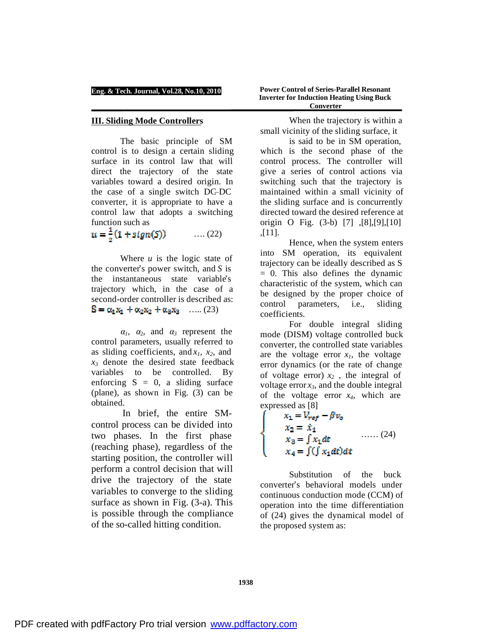### **III. Sliding Mode Controllers**

The basic principle of SM control is to design a certain sliding surface in its control law that will direct the trajectory of the state variables toward a desired origin. In the case of a single switch DC–DC converter, it is appropriate to have a control law that adopts a switching function such as

 $u = \frac{1}{2}(1 + sign(S))$ …. (22)

Where *u* is the logic state of the converter's power switch, and *S* is the instantaneous state variable's trajectory which, in the case of a second-order controller is described as:  $S = \alpha_1 x_1 + \alpha_2 x_2 + \alpha_3 x_3 \quad \dots (23)$ 

 $\alpha_1$ ,  $\alpha_2$ , and  $\alpha_3$  represent the control parameters, usually referred to as sliding coefficients, and *x1*, *x2*, and *x<sup>3</sup>* denote the desired state feedback variables to be controlled. By enforcing  $S = 0$ , a sliding surface (plane), as shown in Fig. (3) can be obtained.

In brief, the entire SMcontrol process can be divided into two phases. In the first phase (reaching phase), regardless of the starting position, the controller will perform a control decision that will drive the trajectory of the state variables to converge to the sliding surface as shown in Fig. (3-a). This is possible through the compliance of the so-called hitting condition.

**Power Control of Series-Parallel Resonant Inverter for Induction Heating Using Buck Converter**

When the trajectory is within a small vicinity of the sliding surface, it

is said to be in SM operation, which is the second phase of the control process. The controller will give a series of control actions via switching such that the trajectory is maintained within a small vicinity of the sliding surface and is concurrently directed toward the desired reference at origin O Fig. (3-b) [7] ,[8],[9],[10] ,[11].

Hence, when the system enters into SM operation, its equivalent trajectory can be ideally described as S  $= 0$ . This also defines the dynamic characteristic of the system, which can be designed by the proper choice of control parameters, i.e., sliding coefficients.

For double integral sliding mode (DISM) voltage controlled buck converter, the controlled state variables are the voltage error  $x<sub>1</sub>$ , the voltage error dynamics (or the rate of change of voltage error)  $x_2$ , the integral of voltage error  $x_3$ , and the double integral of the voltage error *x4*, which are expressed as [8]

$$
x_1 = V_{ref} - \beta v_o
$$
  
\n
$$
x_2 = \dot{x}_1
$$
  
\n
$$
x_3 = \int x_1 dt
$$
  
\n
$$
x_4 = \int (\int x_1 dt) dt
$$
 (24)

Substitution of the buck converter's behavioral models under continuous conduction mode (CCM) of operation into the time differentiation of (24) gives the dynamical model of the proposed system as: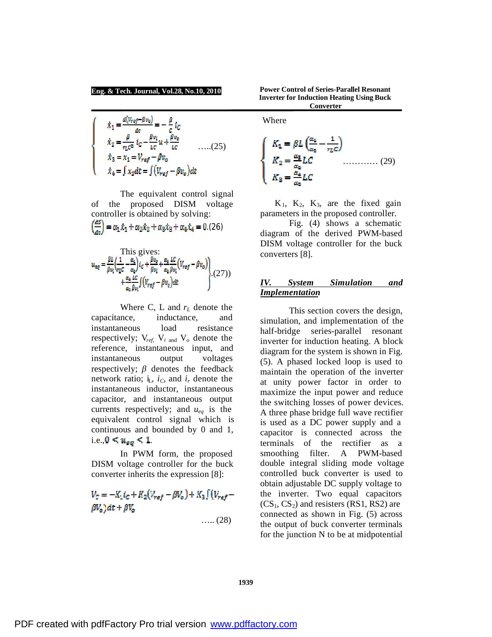$$
\begin{aligned}\n\hat{x}_1 &= \frac{d(V_{ref} - \beta v_0)}{dt} = -\frac{\beta}{c} t_c \\
\dot{x}_2 &= \frac{\beta}{v_L c^2} t_c - \frac{\beta v_1}{L c} u + \frac{\beta v_0}{L c} \quad \dots (25) \\
\dot{x}_3 &= x_1 = V_{ref} - \beta v_0 \\
\dot{x}_4 &= \int x_1 dt = \int (V_{ref} - \beta v_0) dt\n\end{aligned}
$$

The equivalent control signal of the proposed DISM voltage controller is obtained by solving:  $\sqrt{dS}$  $\mathbf{r} = \mathbf{r}$  .  $(26)$  .  $(26)$  .  $(26)$  .  $(26)$  .  $(26)$ 

$$
\left(\frac{1}{\alpha c}\right) = \alpha_1 x_1 + \alpha_2 x_2 + \alpha_3 x_3 + \alpha_4 x_4 = 0.(26)
$$

This gives:  
\n
$$
u_{eq} = \frac{\beta L}{\beta v_i} \left( \frac{1}{v_L c} - \frac{\alpha_i}{\alpha_2} \right) i_c + \frac{\beta v_e}{\beta v_i} + \frac{\alpha_s}{\alpha_s} \frac{LC}{\beta v_i} (V_{ref} - \beta v_o) + \frac{\alpha_s}{\alpha_s} \frac{LC}{\beta v_i} \left( V_{ref} - \beta v_o \right) dt
$$
\n(27)

Where C, L and *r<sup>L</sup>* denote the capacitance, inductance, and instantaneous load resistance respectively; V*ref,* V*<sup>i</sup>* and V*<sup>o</sup>* denote the reference, instantaneous input, and instantaneous output voltages respectively;  $\beta$  denotes the feedback network ratio;  $i<sub>L</sub>$ *, i<sub>C</sub>*, and  $i<sub>r</sub>$  denote the instantaneous inductor, instantaneous capacitor, and instantaneous output currents respectively; and *ueq* is the equivalent control signal which is continuous and bounded by 0 and 1, i.e.,  $0 \leq u_{eq} \leq 1$ .

In PWM form, the proposed DISM voltage controller for the buck converter inherits the expression [8]:

$$
V_C = -K_1 i_C + K_2 (V_{ref} - \beta V_o) + K_3 \int (V_{ref} - \beta V_o) dt + \beta V_o
$$
  
.... (28)

**Power Control of Series-Parallel Resonant Inverter for Induction Heating Using Buck Converter**

Where

$$
\begin{cases}\nK_1 = \beta L \left(\frac{\alpha_1}{\alpha_2} - \frac{1}{r_L C}\right) \\
K_2 = \frac{\alpha_3}{\alpha_2} LC \dots \dots \dots \dots \dots (29) \\
K_3 = \frac{\alpha_4}{\alpha_2} LC\n\end{cases}
$$

 $K_1$ ,  $K_2$ ,  $K_3$ , are the fixed gain parameters in the proposed controller.

Fig. (4) shows a schematic diagram of the derived PWM-based DISM voltage controller for the buck converters [8].

## *IV. System Simulation and Implementation*

 This section covers the design, simulation, and implementation of the half-bridge series-parallel resonant inverter for induction heating. A block diagram for the system is shown in Fig. (5). A phased locked loop is used to maintain the operation of the inverter at unity power factor in order to maximize the input power and reduce the switching losses of power devices. A three phase bridge full wave rectifier is used as a DC power supply and a capacitor is connected across the terminals of the rectifier as a smoothing filter. A PWM-based double integral sliding mode voltage controlled buck converter is used to obtain adjustable DC supply voltage to the inverter. Two equal capacitors  $(CS_1, CS_2)$  and resisters (RS1, RS2) are connected as shown in Fig. (5) across the output of buck converter terminals for the junction N to be at midpotential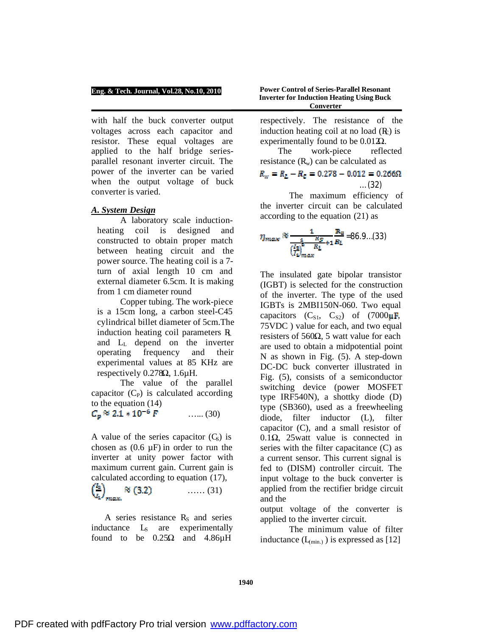with half the buck converter output voltages across each capacitor and resistor. These equal voltages are applied to the half bridge seriesparallel resonant inverter circuit. The power of the inverter can be varied when the output voltage of buck converter is varied.

### *A. System Design*

A laboratory scale inductionheating coil is designed and constructed to obtain proper match between heating circuit and the power source. The heating coil is a 7 turn of axial length 10 cm and external diameter 6.5cm. It is making from 1 cm diameter round

Copper tubing. The work-piece is a 15cm long, a carbon steel-C45 cylindrical billet diameter of 5cm.The induction heating coil parameters  $R$ and L<sup>L</sup> depend on the inverter operating frequency and their experimental values at 85 KHz are respectively 0.278Ω, 1.6µH.

The value of the parallel capacitor  $(C_P)$  is calculated according to the equation (14)

$$
C_p \approx 2.1 * 10^{-6} F
$$
 ...... (30)

A value of the series capacitor  $(C<sub>s</sub>)$  is chosen as  $(0.6 \mu F)$  in order to run the inverter at unity power factor with maximum current gain. Current gain is

calculated according to equation (17),<br>  $\left(\frac{I_2}{I_1}\right)_{\text{max}} \approx (3.2)$  ...... (31)  $\approx$  (3.2) ...... (31)

A series resistance  $R<sub>S</sub>$  and series inductance  $L_s$  are experimentally found to be  $0.25\Omega$  and  $4.86\mu$ H

**Power Control of Series-Parallel Resonant Inverter for Induction Heating Using Buck Converter**

respectively. The resistance of the induction heating coil at no load  $(R<sub>c</sub>)$  is experimentally found to be  $0.0122$ .

 The work-piece reflected resistance  $(R_w)$  can be calculated as

# $R_w = R_L - R_c = 0.278 - 0.012 = 0.266\Omega$ … (32)

The maximum efficiency of the inverter circuit can be calculated according to the equation (21) as

$$
\eta_{max} \approx \frac{1}{\left(\frac{I_2}{I_1}\right)^2} \frac{R_S}{R_L} + 1} \frac{R_0}{R_L} = 86.9...(33)
$$

The insulated gate bipolar transistor (IGBT) is selected for the construction of the inverter. The type of the used IGBTs is 2MBI150N-060. Two equal capacitors  $(C_{s1}, C_{s2})$  of  $(7000 \mu \text{F},$ 75VDC ) value for each, and two equal resisters of 560 $Ω$ , 5 watt value for each are used to obtain a midpotential point N as shown in Fig. (5). A step-down DC-DC buck converter illustrated in Fig. (5), consists of a semiconductor switching device (power MOSFET type IRF540N), a shottky diode (D) type (SB360), used as a freewheeling diode, filter inductor (L), filter capacitor (C), and a small resistor of 0.1Ω, 25watt value is connected in series with the filter capacitance (C) as a current sensor. This current signal is fed to (DISM) controller circuit. The input voltage to the buck converter is applied from the rectifier bridge circuit and the

output voltage of the converter is applied to the inverter circuit.

The minimum value of filter inductance  $(L_{\text{(min.)}})$  is expressed as [12]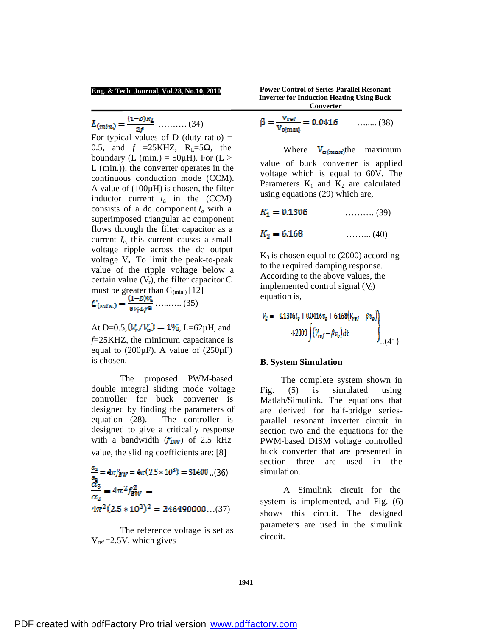$L_{(min)} = \frac{(1-D)R_L}{2f}$  ........... (34)

For typical values of D (duty ratio)  $=$ 0.5, and  $f = 25K$ HZ, R<sub>L</sub>=5Ω, the boundary (L (min.) =  $50\mu$ H). For (L > L (min.)), the converter operates in the continuous conduction mode (CCM). A value of (100µH) is chosen, the filter inductor current  $i_L$  in the (CCM) consists of a dc component  $I<sub>o</sub>$  with a superimposed triangular ac component flows through the filter capacitor as a current  $I_c$ , this current causes a small voltage ripple across the dc output voltage  $V_0$ . To limit the peak-to-peak value of the ripple voltage below a certain value  $(V_r)$ , the filter capacitor C must be greater than  $C_{(min.)}$  [12]

 $\ldots$ ........ (35)

At D=0.5,  $(V_r / V_o) = 1\%$ , L=62µH, and *f*=25KHZ, the minimum capacitance is equal to  $(200\mu F)$ . A value of  $(250\mu F)$ is chosen.

The proposed PWM-based double integral sliding mode voltage controller for buck converter is designed by finding the parameters of equation (28). The controller is designed to give a critically response with a bandwidth  $(f_{EW})$  of 2.5 kHz value, the sliding coefficients are: [8]

$$
\frac{a_4}{a_2} = 4\pi f_{BW} = 4\pi (2.5 * 10^3) = 31400 ...(36)
$$
  
\n
$$
\frac{a_3}{\alpha_2} = 4\pi^2 f_{BW}^2 =
$$
  
\n
$$
4\pi^2 (2.5 * 10^3)^2 = 246490000 ...(37)
$$

The reference voltage is set as  $V_{ref} = 2.5V$ , which gives

**Power Control of Series-Parallel Resonant Inverter for Induction Heating Using Buck Converter**

$$
\beta = \frac{v_{ref}}{v_{o(maxi)}} = 0.0416 \qquad \qquad \dots \dots \dots (38)
$$

Where  $V_{\text{o(max)}}$ the maximum value of buck converter is applied voltage which is equal to 60V. The Parameters  $K_1$  and  $K_2$  are calculated using equations (29) which are,

 $K_1 = 0.1306$  ............. (39)

 $K_2 = 6.168$  .......... (40)

 $K_3$  is chosen equal to (2000) according to the required damping response. According to the above values, the implemented control signal  $(V<sub>c</sub>)$ equation is,

$$
V_c = -0.1306i_c + 0.0416v_o + 6.168(V_{ref} - \beta v_o)
$$
  
+2000  $\left\{ (V_{ref} - \beta v_o) dt \right\}$  (41)

### **B. System Simulation**

 The complete system shown in Fig. (5) is simulated using Matlab/Simulink. The equations that are derived for half-bridge seriesparallel resonant inverter circuit in section two and the equations for the PWM-based DISM voltage controlled buck converter that are presented in section three are used in the simulation.

 A Simulink circuit for the system is implemented, and Fig. (6) shows this circuit. The designed parameters are used in the simulink circuit.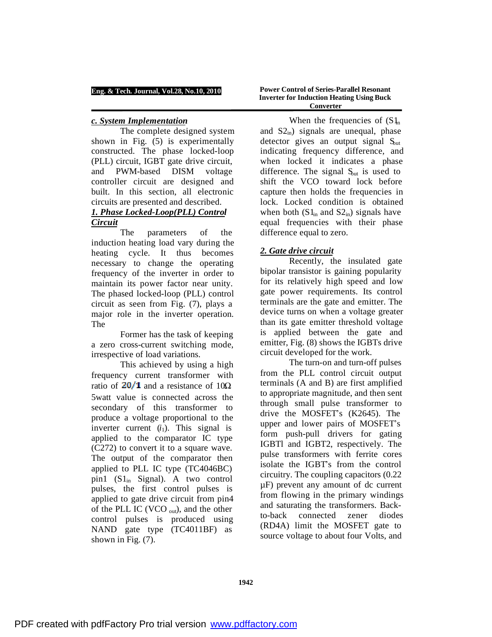### *c. System Implementation*

The complete designed system shown in Fig. (5) is experimentally constructed. The phase locked-loop (PLL) circuit, IGBT gate drive circuit, and PWM-based DISM voltage controller circuit are designed and built. In this section, all electronic circuits are presented and described.

# *1. Phase Locked-Loop(PLL) Control Circuit*

The parameters of the induction heating load vary during the heating cycle. It thus becomes necessary to change the operating frequency of the inverter in order to maintain its power factor near unity. The phased locked-loop (PLL) control circuit as seen from Fig. (7), plays a major role in the inverter operation. The

Former has the task of keeping a zero cross-current switching mode, irrespective of load variations.

This achieved by using a high frequency current transformer with ratio of  $20/1$  and a resistance of  $10\Omega$ 5watt value is connected across the secondary of this transformer to produce a voltage proportional to the inverter current  $(i_1)$ . This signal is applied to the comparator IC type (C272) to convert it to a square wave. The output of the comparator then applied to PLL IC type (TC4046BC) pin1  $(S1_{in}$  Signal). A two control pulses, the first control pulses is applied to gate drive circuit from pin4 of the PLL IC (VCO  $_{\text{out}}$ ), and the other control pulses is produced using NAND gate type (TC4011BF) as shown in Fig. (7).

**Power Control of Series-Parallel Resonant Inverter for Induction Heating Using Buck Converter**

When the frequencies of  $(S_1)$ and  $S_2$ <sub>in</sub>) signals are unequal, phase detector gives an output signal  $S<sub>out</sub>$ indicating frequency difference, and when locked it indicates a phase difference. The signal  $S<sub>out</sub>$  is used to shift the VCO toward lock before capture then holds the frequencies in lock. Locked condition is obtained when both  $(S1_{in}$  and  $S2_{in}$ ) signals have equal frequencies with their phase difference equal to zero.

# *2. Gate drive circuit*

Recently, the insulated gate bipolar transistor is gaining popularity for its relatively high speed and low gate power requirements. Its control terminals are the gate and emitter. The device turns on when a voltage greater than its gate emitter threshold voltage is applied between the gate and emitter, Fig. (8) shows the IGBTs drive circuit developed for the work.

The turn-on and turn-off pulses from the PLL control circuit output terminals (A and B) are first amplified to appropriate magnitude, and then sent through small pulse transformer to drive the MOSFET's (K2645). The upper and lower pairs of MOSFET's form push-pull drivers for gating IGBTl and IGBT2, respectively. The pulse transformers with ferrite cores isolate the IGBT's from the control circuitry. The coupling capacitors (0.22 µF) prevent any amount of dc current from flowing in the primary windings and saturating the transformers. Backto-back connected zener diodes (RD4A) limit the MOSFET gate to source voltage to about four Volts, and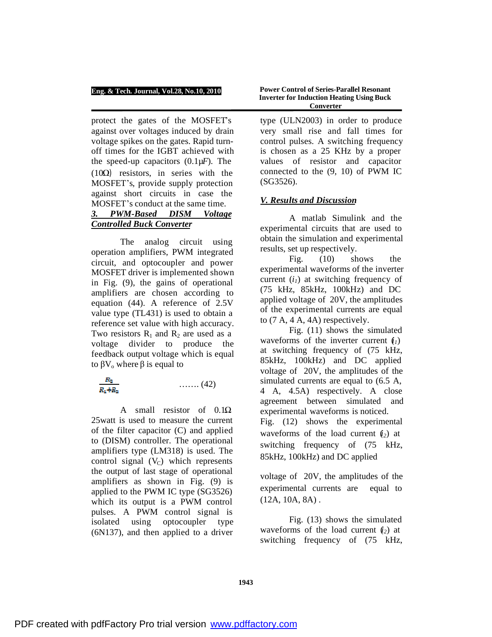protect the gates of the MOSFET's against over voltages induced by drain voltage spikes on the gates. Rapid turnoff times for the IGBT achieved with the speed-up capacitors (0.1µ*F*). The (10Ω) resistors, in series with the MOSFET's, provide supply protection against short circuits in case the MOSFET's conduct at the same time.

# *3. PWM-Based DISM Voltage Controlled Buck Converter*

The analog circuit using operation amplifiers, PWM integrated circuit, and optocoupler and power MOSFET driver is implemented shown in Fig. (9), the gains of operational amplifiers are chosen according to equation (44). A reference of 2.5V value type (TL431) is used to obtain a reference set value with high accuracy. Two resistors  $R_1$  and  $R_2$  are used as a voltage divider to produce the feedback output voltage which is equal to  $\beta V_0$  where  $\beta$  is equal to



A small resistor of 0.1Ω 25watt is used to measure the current of the filter capacitor (C) and applied to (DISM) controller. The operational amplifiers type (LM318) is used. The control signal  $(V<sub>C</sub>)$  which represents the output of last stage of operational amplifiers as shown in Fig. (9) is applied to the PWM IC type (SG3526) which its output is a PWM control pulses. A PWM control signal is isolated using optocoupler type (6N137), and then applied to a driver

**Power Control of Series-Parallel Resonant Inverter for Induction Heating Using Buck Converter**

type (ULN2003) in order to produce very small rise and fall times for control pulses. A switching frequency is chosen as a 25 KHz by a proper values of resistor and capacitor connected to the (9, 10) of PWM IC (SG3526).

# *V. Results and Discussion*

A matlab Simulink and the experimental circuits that are used to obtain the simulation and experimental results, set up respectively.

Fig. (10) shows the experimental waveforms of the inverter current (*i1*) at switching frequency of (75 kHz, 85kHz, 100kHz) and DC applied voltage of 20V, the amplitudes of the experimental currents are equal to (7 A, 4 A, 4A) respectively.

Fig. (11) shows the simulated waveforms of the inverter current  $(i)$ at switching frequency of (75 kHz, 85kHz, 100kHz) and DC applied voltage of 20V, the amplitudes of the simulated currents are equal to (6.5 A, 4 A, 4.5A) respectively. A close agreement between simulated and experimental waveforms is noticed. Fig. (12) shows the experimental waveforms of the load current  $(i_2)$  at switching frequency of (75 kHz, 85kHz, 100kHz) and DC applied

voltage of 20V, the amplitudes of the experimental currents are equal to (12A, 10A, 8A) .

Fig. (13) shows the simulated waveforms of the load current  $(i_2)$  at switching frequency of (75 kHz,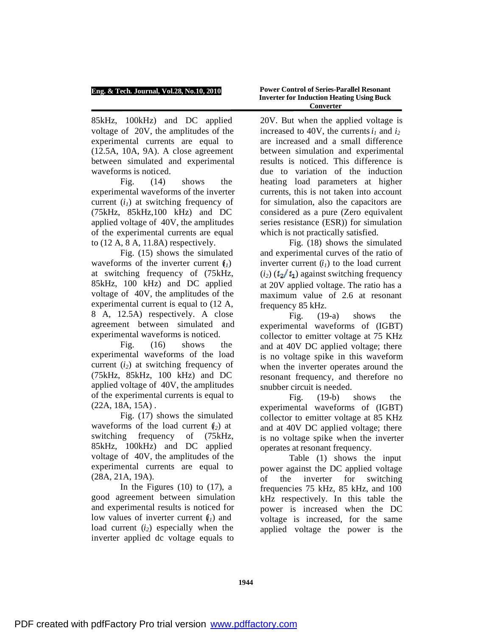85kHz, 100kHz) and DC applied voltage of 20V, the amplitudes of the experimental currents are equal to (12.5A, 10A, 9A). A close agreement between simulated and experimental waveforms is noticed.

Fig. (14) shows the experimental waveforms of the inverter current (*i1*) at switching frequency of (75kHz, 85kHz,100 kHz) and DC applied voltage of 40V, the amplitudes of the experimental currents are equal to (12 A, 8 A, 11.8A) respectively.

Fig. (15) shows the simulated waveforms of the inverter current  $(i_l)$ at switching frequency of (75kHz, 85kHz, 100 kHz) and DC applied voltage of 40V, the amplitudes of the experimental current is equal to (12 A, 8 A, 12.5A) respectively. A close agreement between simulated and experimental waveforms is noticed.

Fig.  $(16)$  shows the experimental waveforms of the load current (*i2*) at switching frequency of (75kHz, 85kHz, 100 kHz) and DC applied voltage of 40V, the amplitudes of the experimental currents is equal to  $(22A, 18A, 15A)$ .

Fig. (17) shows the simulated waveforms of the load current  $(i<sub>2</sub>)$  at switching frequency of (75kHz, 85kHz, 100kHz) and DC applied voltage of 40V, the amplitudes of the experimental currents are equal to (28A, 21A, 19A).

In the Figures  $(10)$  to  $(17)$ , a good agreement between simulation and experimental results is noticed for low values of inverter current  $(i_l)$  and load current (*i*<sub>2</sub>) especially when the inverter applied dc voltage equals to

**Power Control of Series-Parallel Resonant Inverter for Induction Heating Using Buck Converter**

20V. But when the applied voltage is increased to 40V, the currents  $i_l$  and  $i_2$ are increased and a small difference between simulation and experimental results is noticed. This difference is due to variation of the induction heating load parameters at higher currents, this is not taken into account for simulation, also the capacitors are considered as a pure (Zero equivalent series resistance (ESR)) for simulation which is not practically satisfied.

Fig. (18) shows the simulated and experimental curves of the ratio of inverter current  $(i_l)$  to the load current  $(i_2)$   $(i_2/i_1)$  against switching frequency at 20V applied voltage. The ratio has a maximum value of 2.6 at resonant frequency 85 kHz.

Fig. (19-a) shows the experimental waveforms of (IGBT) collector to emitter voltage at 75 KHz and at 40V DC applied voltage; there is no voltage spike in this waveform when the inverter operates around the resonant frequency, and therefore no snubber circuit is needed.

Fig. (19-b) shows the experimental waveforms of (IGBT) collector to emitter voltage at 85 KHz and at 40V DC applied voltage; there is no voltage spike when the inverter operates at resonant frequency.

Table (1) shows the input power against the DC applied voltage of the inverter for switching frequencies 75 kHz, 85 kHz, and 100 kHz respectively. In this table the power is increased when the DC voltage is increased, for the same applied voltage the power is the

**1944**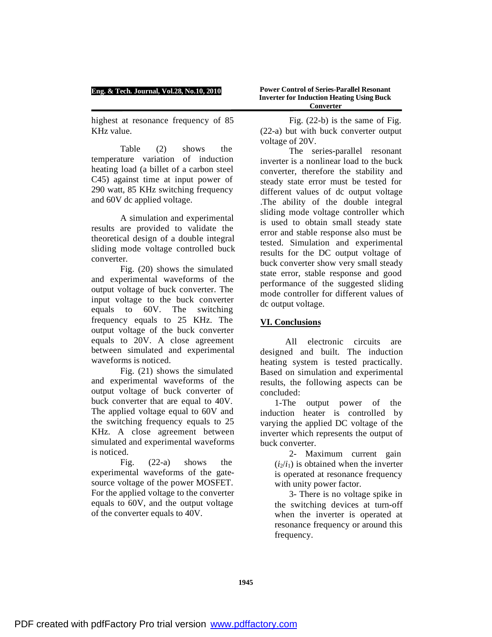highest at resonance frequency of 85 KHz value.

Table (2) shows the temperature variation of induction heating load (a billet of a carbon steel C45) against time at input power of 290 watt, 85 KHz switching frequency and 60V dc applied voltage.

A simulation and experimental results are provided to validate the theoretical design of a double integral sliding mode voltage controlled buck converter.

Fig. (20) shows the simulated and experimental waveforms of the output voltage of buck converter. The input voltage to the buck converter equals to 60V. The switching frequency equals to 25 KHz. The output voltage of the buck converter equals to 20V. A close agreement between simulated and experimental waveforms is noticed.

Fig. (21) shows the simulated and experimental waveforms of the output voltage of buck converter of buck converter that are equal to 40V. The applied voltage equal to 60V and the switching frequency equals to 25 KHz. A close agreement between simulated and experimental waveforms is noticed.

Fig. (22-a) shows the experimental waveforms of the gatesource voltage of the power MOSFET. For the applied voltage to the converter equals to 60V, and the output voltage of the converter equals to 40V.

Fig. (22-b) is the same of Fig. (22-a) but with buck converter output voltage of 20V.

The series-parallel resonant inverter is a nonlinear load to the buck converter, therefore the stability and steady state error must be tested for different values of dc output voltage .The ability of the double integral sliding mode voltage controller which is used to obtain small steady state error and stable response also must be tested. Simulation and experimental results for the DC output voltage of buck converter show very small steady state error, stable response and good performance of the suggested sliding mode controller for different values of dc output voltage.

# **VI. Conclusions**

 All electronic circuits are designed and built. The induction heating system is tested practically. Based on simulation and experimental results, the following aspects can be concluded:

1-The output power of the induction heater is controlled by varying the applied DC voltage of the inverter which represents the output of buck converter.

2- Maximum current gain  $(i_2/i_1)$  is obtained when the inverter is operated at resonance frequency with unity power factor.

3- There is no voltage spike in the switching devices at turn-off when the inverter is operated at resonance frequency or around this frequency.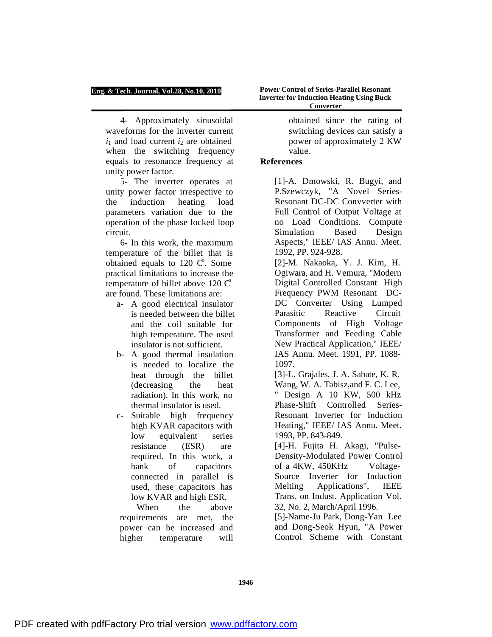4- Approximately sinusoidal waveforms for the inverter current  $i_1$  and load current  $i_2$  are obtained when the switching frequency equals to resonance frequency at unity power factor.

5- The inverter operates at unity power factor irrespective to the induction heating load parameters variation due to the operation of the phase locked loop circuit.

6- In this work, the maximum temperature of the billet that is obtained equals to  $120 \, \text{C}^{\circ}$ . Some practical limitations to increase the temperature of billet above  $120 \text{ C}^{\circ}$ are found. These limitations are:

- a- A good electrical insulator is needed between the billet and the coil suitable for high temperature. The used insulator is not sufficient.
- b- A good thermal insulation is needed to localize the heat through the billet (decreasing the heat radiation). In this work, no thermal insulator is used.
- c- Suitable high frequency high KVAR capacitors with low equivalent series resistance (ESR) are required. In this work, a bank of capacitors connected in parallel is used, these capacitors has low KVAR and high ESR.

 When the above requirements are met, the power can be increased and higher temperature will

**Power Control of Series-Parallel Resonant Inverter for Induction Heating Using Buck Converter**

> obtained since the rating of switching devices can satisfy a power of approximately 2 KW value.

## **References**

[1]-A. Dmowski, R. Bugyi, and P.Szewczyk, "A Novel Series-Resonant DC-DC Convverter with Full Control of Output Voltage at no Load Conditions. Compute Simulation Based Design Aspects," IEEE/ IAS Annu. Meet. 1992, PP. 924-928.

[2]-M. Nakaoka, Y. J. Kim, H. Ogiwara, and H. Vemura, "Modern Digital Controlled Constant High Frequency PWM Resonant DC-DC Converter Using Lumped Parasitic Reactive Circuit Components of High Voltage Transformer and Feeding Cable New Practical Application," IEEE/ IAS Annu. Meet. 1991, PP. 1088- 1097.

[3]-L. Grajales, J. A. Sabate, K. R. Wang, W. A. Tabisz,and F. C. Lee, " Design A 10 KW, 500 kHz Phase-Shift Controlled Series-Resonant Inverter for Induction Heating," IEEE/ IAS Annu. Meet. 1993, PP. 843-849.

[4]-H. Fujita H. Akagi, "Pulse-Density-Modulated Power Control of a 4KW, 450KHz Voltage-Source Inverter for Induction Melting Applications", IEEE Trans. on Indust. Application Vol. 32, No. 2, March/April 1996.

[5]-Name-Ju Park, Dong-Yan Lee and Dong-Seok Hyun, "A Power Control Scheme with Constant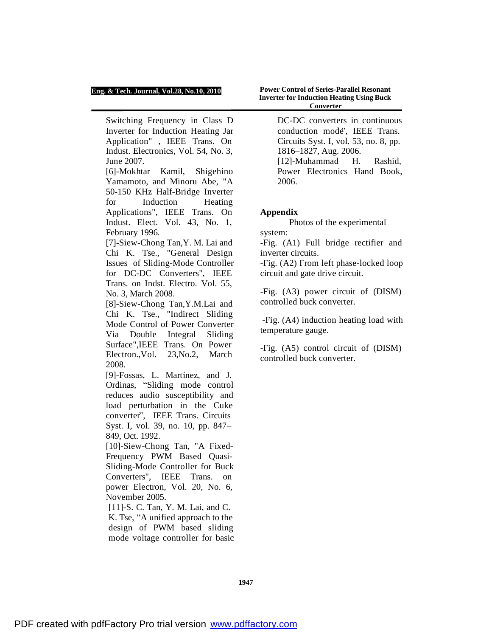Switching Frequency in Class D Inverter for Induction Heating Jar Application" , IEEE Trans. On Indust. Electronics, Vol. 54, No. 3, June 2007.

[6]-Mokhtar Kamil, Shigehino Yamamoto, and Minoru Abe, "A 50-150 KHz Half-Bridge Inverter for Induction Heating Applications", IEEE Trans. On Indust. Elect. Vol. 43, No. 1, February 1996.

[7]-Siew-Chong Tan,Y. M. Lai and Chi K. Tse., "General Design Issues of Sliding-Mode Controller for DC-DC Converters", IEEE Trans. on Indst. Electro. Vol. 55, No. 3, March 2008.

[8]-Siew-Chong Tan,Y.M.Lai and Chi K. Tse., "Indirect Sliding Mode Control of Power Converter Via Double Integral Sliding Surface",IEEE Trans. On Power Electron.,Vol. 23,No.2, March 2008.

[9]-Fossas, L. Martínez, and J. Ordinas, "Sliding mode control reduces audio susceptibility and load perturbation in the Cuke converter", IEEE Trans. Circuits Syst. I, vol. 39, no. 10, pp. 847– 849, Oct. 1992.

[10]-Siew-Chong Tan, "A Fixed-Frequency PWM Based Quasi-Sliding-Mode Controller for Buck Converters", IEEE Trans. on power Electron, Vol. 20, No. 6, November 2005.

[11]-S. C. Tan, Y. M. Lai, and C. K. Tse, "A unified approach to the design of PWM based sliding mode voltage controller for basic

**Power Control of Series-Parallel Resonant Inverter for Induction Heating Using Buck Converter**

> DC-DC converters in continuous conduction mode", IEEE Trans. Circuits Syst. I, vol. 53, no. 8, pp. 1816–1827, Aug. 2006. [12]-Muhammad H. Rashid, Power Electronics Hand Book, 2006.

### **Appendix**

Photos of the experimental system:

-Fig. (A1) Full bridge rectifier and inverter circuits.

-Fig. (A2) From left phase-locked loop circuit and gate drive circuit.

-Fig. (A3) power circuit of (DISM) controlled buck converter.

-Fig. (A4) induction heating load with temperature gauge.

-Fig. (A5) control circuit of (DISM) controlled buck converter.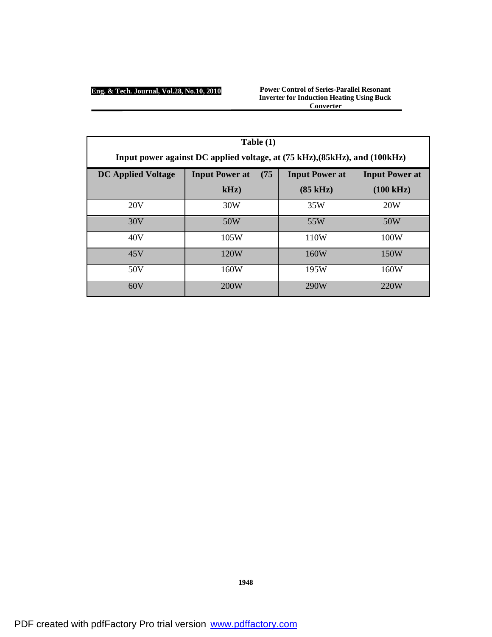**Power Control of Series-Parallel Resonant Inverter for Induction Heating Using Buck Converter**

| Table (1)                                                                  |                               |                       |                       |  |
|----------------------------------------------------------------------------|-------------------------------|-----------------------|-----------------------|--|
| Input power against DC applied voltage, at (75 kHz), (85kHz), and (100kHz) |                               |                       |                       |  |
| <b>DC Applied Voltage</b>                                                  | <b>Input Power at</b><br>(75) | <b>Input Power at</b> | <b>Input Power at</b> |  |
|                                                                            | kHz                           | $(85 \text{ kHz})$    | $(100 \text{ kHz})$   |  |
| 20V                                                                        | 30W                           | 35W                   | 20W                   |  |
| 30V                                                                        | 50W                           | 55W                   | 50W                   |  |
| 40V                                                                        | 105W                          | 110W                  | 100W                  |  |
| 45V                                                                        | 120W                          | 160W                  | 150W                  |  |
| 50V                                                                        | 160W                          | 195W                  | 160W                  |  |
| 60V                                                                        | 200W                          | 290W                  | 220W                  |  |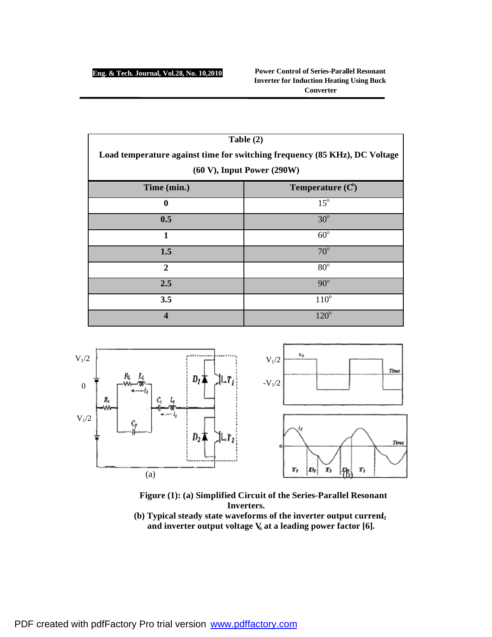**Power Control of Series-Parallel Resonant Inverter for Induction Heating Using Buck Converter** 

| Table $(2)$                                                                |                   |  |  |
|----------------------------------------------------------------------------|-------------------|--|--|
| Load temperature against time for switching frequency (85 KHz), DC Voltage |                   |  |  |
| $(60 V)$ , Input Power $(290 W)$                                           |                   |  |  |
| Time (min.)                                                                | Temperature $(C)$ |  |  |
| 0                                                                          | $15^\circ$        |  |  |
| 0.5                                                                        | $30^\circ$        |  |  |
| 1                                                                          | $60^\circ$        |  |  |
| 1.5                                                                        | $70^\circ$        |  |  |
| $\overline{2}$                                                             | $80^\circ$        |  |  |
| 2.5                                                                        | $90^\circ$        |  |  |
| 3.5                                                                        | $110^{\circ}$     |  |  |
|                                                                            | $120^\circ$       |  |  |



**Figure (1): (a) Simplified Circuit of the Series-Parallel Resonant Inverters.**  (b) Typical steady state waveforms of the inverter output current<sub>*i*</sub>

**and inverter output voltage V<sup>o</sup> at a leading power factor [6].**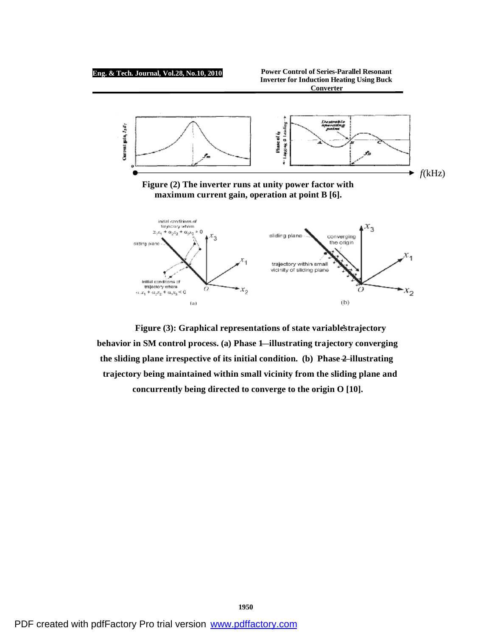

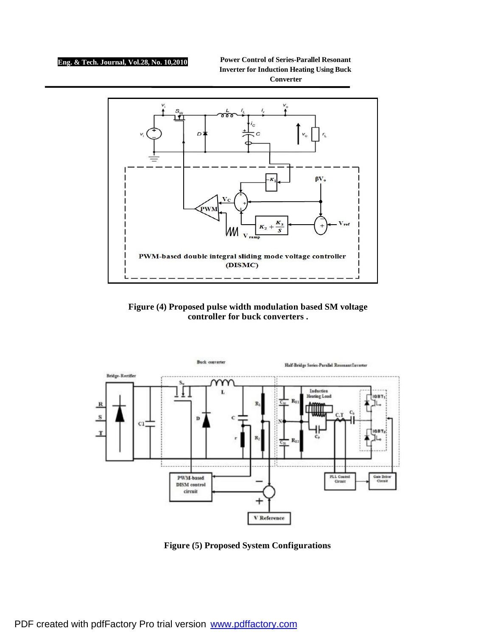**Power Control of Series-Parallel Resonant Inverter for Induction Heating Using Buck Converter** 



**Figure (4) Proposed pulse width modulation based SM voltage controller for buck converters .** 



**Figure (5) Proposed System Configurations**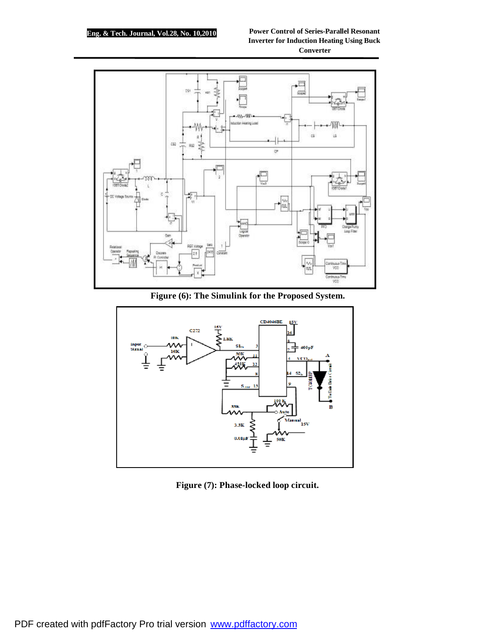

**Figure (6): The Simulink for the Proposed System.** 



**Figure (7): Phase-locked loop circuit.**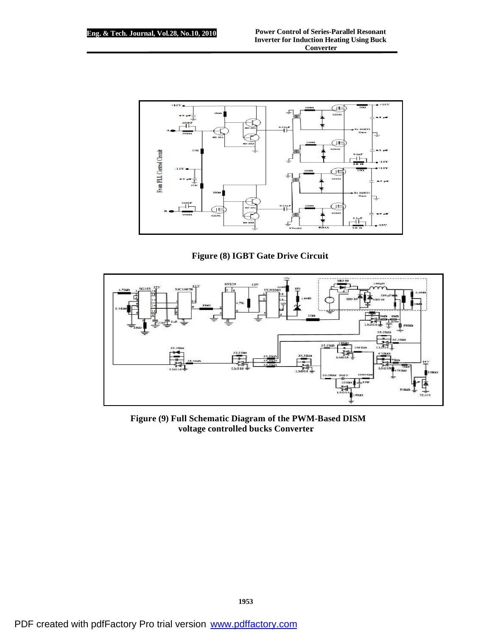

**Figure (8) IGBT Gate Drive Circuit.** 



**Figure (9) Full Schematic Diagram of the PWM-Based DISM voltage controlled bucks Converter.**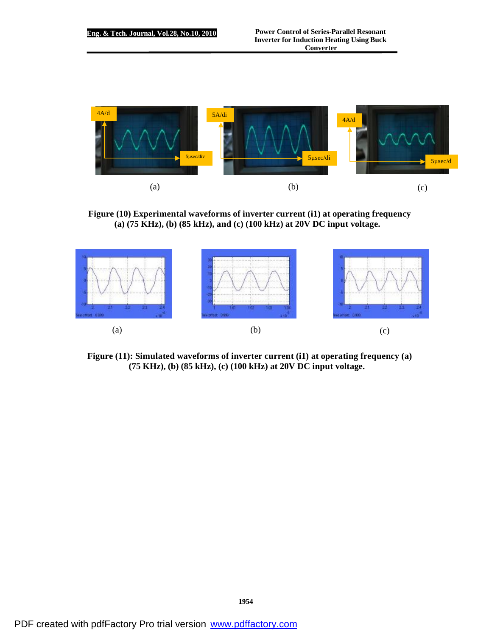

**Figure (10) Experimental waveforms of inverter current (i1) at operating frequency (a) (75 KHz), (b) (85 kHz), and (c) (100 kHz) at 20V DC input voltage.** 



**Figure (11): Simulated waveforms of inverter current (i1) at operating frequency (a) (75 KHz), (b) (85 kHz), (c) (100 kHz) at 20V DC input voltage.**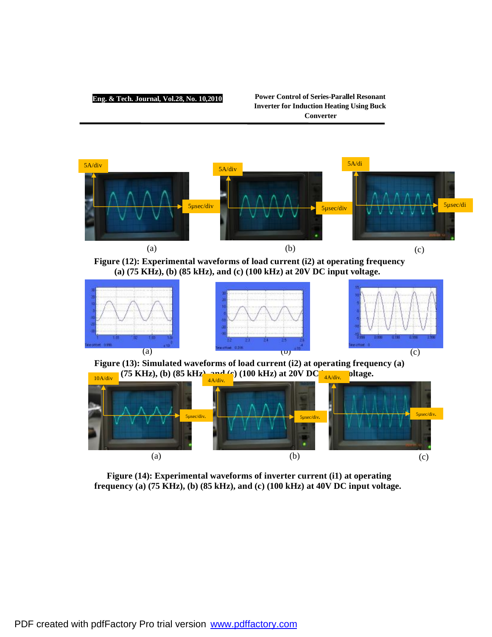### **Power Control of Series-Parallel Resonant Inverter for Induction Heating Using Buck Converter**



**Figure (12): Experimental waveforms of load current (i2) at operating frequency (a) (75 KHz), (b) (85 kHz), and (c) (100 kHz) at 20V DC input voltage.** 



**Figure (13): Simulated waveforms of load current (i2) at operating frequency (a)**  (75 KHz), (b)  $(85 \text{ kHz})$ , and (c)  $(100 \text{ kHz})$  at  $20 \text{V} \text{ DC}$   $_{\frac{4 \text{ Adi}v}{4 \text{ Adi}v}}$  oltage.



**Figure (14): Experimental waveforms of inverter current (i1) at operating frequency (a) (75 KHz), (b) (85 kHz), and (c) (100 kHz) at 40V DC input voltage.**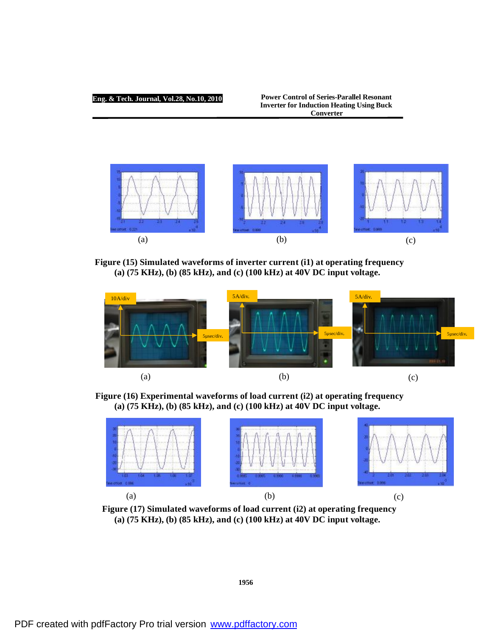#### **Power Control of Series-Parallel Resonant Inverter for Induction Heating Using Buck Converter**



**Figure (15) Simulated waveforms of inverter current (i1) at operating frequency (a) (75 KHz), (b) (85 kHz), and (c) (100 kHz) at 40V DC input voltage.** 



**Figure (16) Experimental waveforms of load current (i2) at operating frequency (a) (75 KHz), (b) (85 kHz), and (c) (100 kHz) at 40V DC input voltage.** 



**Figure (17) Simulated waveforms of load current (i2) at operating frequency (a) (75 KHz), (b) (85 kHz), and (c) (100 kHz) at 40V DC input voltage.** 

**1956**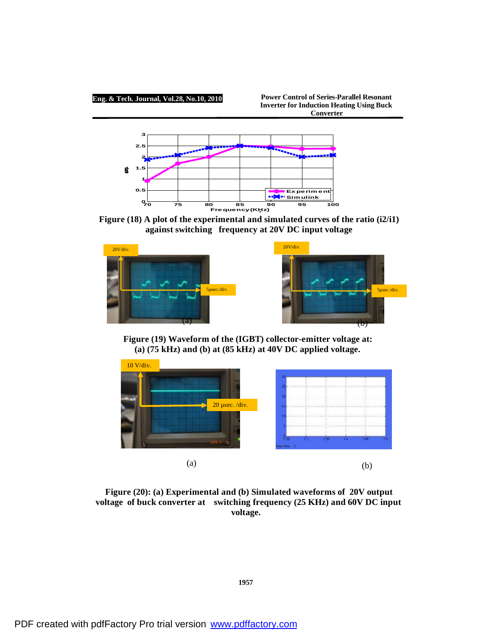**Power Control of Series-Parallel Resonant Inverter for Induction Heating Using Buck Converter**



**Figure (18) A plot of the experimental and simulated curves of the ratio (i2/i1) against switching frequency at 20V DC input voltage** 



**Figure (19) Waveform of the (IGBT) collector-emitter voltage at: (a) (75 kHz) and (b) at (85 kHz) at 40V DC applied voltage.** 



**Figure (20): (a) Experimental and (b) Simulated waveforms of 20V output voltage of buck converter at switching frequency (25 KHz) and 60V DC input voltage.**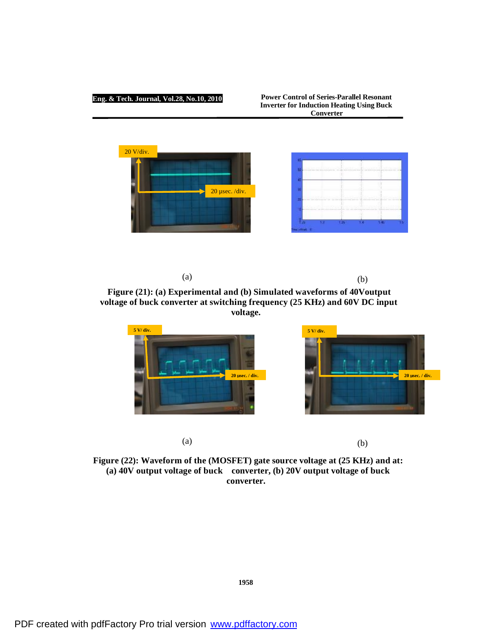**Power Control of Series-Parallel Resonant Inverter for Induction Heating Using Buck Converter**



 $(a)$  (b)

**Figure (21): (a) Experimental and (b) Simulated waveforms of 40Voutput voltage of buck converter at switching frequency (25 KHz) and 60V DC input voltage.** 



**Figure (22): Waveform of the (MOSFET) gate source voltage at (25 KHz) and at: (a) 40V output voltage of buck converter, (b) 20V output voltage of buck converter.**